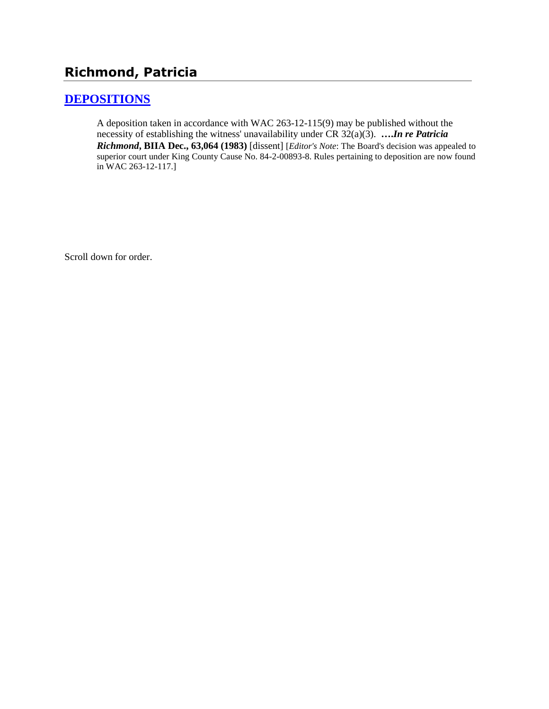# **Richmond, Patricia**

# **[DEPOSITIONS](http://www.biia.wa.gov/SDSubjectIndex.html#DEPOSITIONS)**

A deposition taken in accordance with WAC 263-12-115(9) may be published without the necessity of establishing the witness' unavailability under CR 32(a)(3). **….***In re Patricia Richmond***, BIIA Dec., 63,064 (1983)** [dissent] [*Editor's Note*: The Board's decision was appealed to superior court under King County Cause No. 84-2-00893-8. Rules pertaining to deposition are now found in WAC 263-12-117.]

Scroll down for order.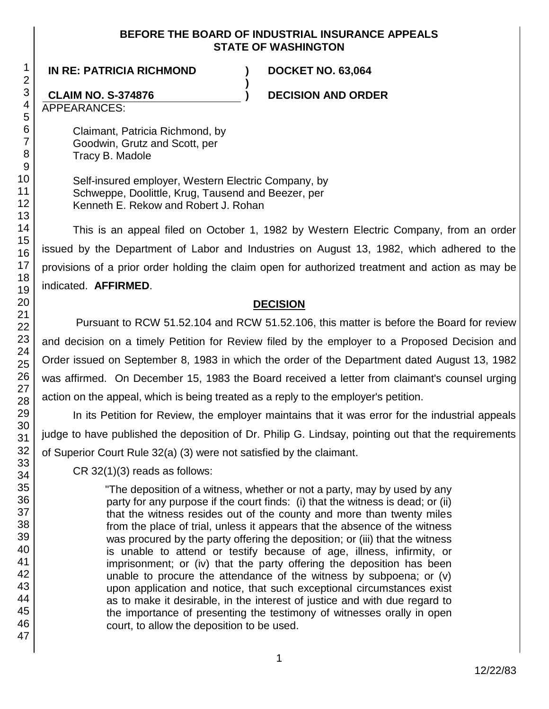#### **BEFORE THE BOARD OF INDUSTRIAL INSURANCE APPEALS STATE OF WASHINGTON**

**)**

**IN RE: PATRICIA RICHMOND ) DOCKET NO. 63,064**

### **CLAIM NO. S-374876 ) DECISION AND ORDER**

APPEARANCES:

Claimant, Patricia Richmond, by Goodwin, Grutz and Scott, per Tracy B. Madole

Self-insured employer, Western Electric Company, by Schweppe, Doolittle, Krug, Tausend and Beezer, per Kenneth E. Rekow and Robert J. Rohan

This is an appeal filed on October 1, 1982 by Western Electric Company, from an order issued by the Department of Labor and Industries on August 13, 1982, which adhered to the provisions of a prior order holding the claim open for authorized treatment and action as may be indicated. **AFFIRMED**.

#### **DECISION**

Pursuant to RCW 51.52.104 and RCW 51.52.106, this matter is before the Board for review and decision on a timely Petition for Review filed by the employer to a Proposed Decision and Order issued on September 8, 1983 in which the order of the Department dated August 13, 1982 was affirmed. On December 15, 1983 the Board received a letter from claimant's counsel urging action on the appeal, which is being treated as a reply to the employer's petition.

In its Petition for Review, the employer maintains that it was error for the industrial appeals judge to have published the deposition of Dr. Philip G. Lindsay, pointing out that the requirements of Superior Court Rule 32(a) (3) were not satisfied by the claimant.

CR 32(1)(3) reads as follows:

"The deposition of a witness, whether or not a party, may by used by any party for any purpose if the court finds: (i) that the witness is dead; or (ii) that the witness resides out of the county and more than twenty miles from the place of trial, unless it appears that the absence of the witness was procured by the party offering the deposition; or (iii) that the witness is unable to attend or testify because of age, illness, infirmity, or imprisonment; or (iv) that the party offering the deposition has been unable to procure the attendance of the witness by subpoena; or (v) upon application and notice, that such exceptional circumstances exist as to make it desirable, in the interest of justice and with due regard to the importance of presenting the testimony of witnesses orally in open court, to allow the deposition to be used.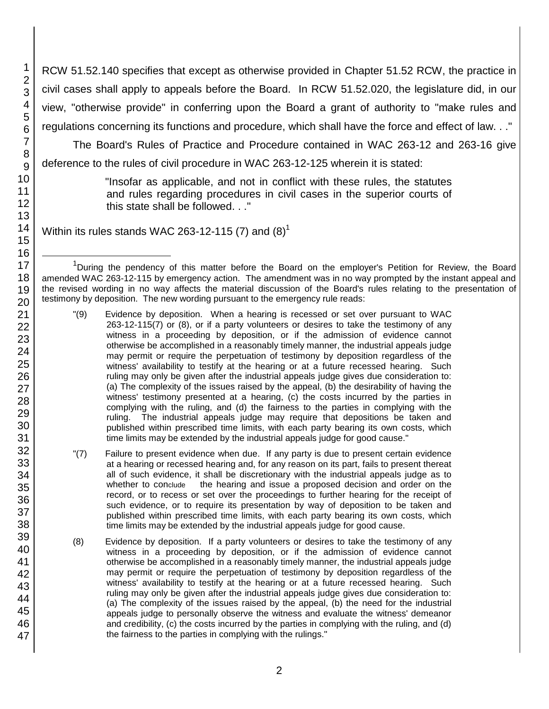RCW 51.52.140 specifies that except as otherwise provided in Chapter 51.52 RCW, the practice in civil cases shall apply to appeals before the Board. In RCW 51.52.020, the legislature did, in our view, "otherwise provide" in conferring upon the Board a grant of authority to "make rules and regulations concerning its functions and procedure, which shall have the force and effect of law. . ."

The Board's Rules of Practice and Procedure contained in WAC 263-12 and 263-16 give deference to the rules of civil procedure in WAC 263-12-125 wherein it is stated:

> "Insofar as applicable, and not in conflict with these rules, the statutes and rules regarding procedures in civil cases in the superior courts of this state shall be followed. . ."

Within its rules stands WAC 263-12-115 (7) and  $(8)^1$ 

l

<sup>&</sup>lt;sup>1</sup>During the pendency of this matter before the Board on the employer's Petition for Review, the Board amended WAC 263-12-115 by emergency action. The amendment was in no way prompted by the instant appeal and the revised wording in no way affects the material discussion of the Board's rules relating to the presentation of testimony by deposition. The new wording pursuant to the emergency rule reads:

<sup>&</sup>quot;(9) Evidence by deposition. When a hearing is recessed or set over pursuant to WAC 263-12-115(7) or (8), or if a party volunteers or desires to take the testimony of any witness in a proceeding by deposition, or if the admission of evidence cannot otherwise be accomplished in a reasonably timely manner, the industrial appeals judge may permit or require the perpetuation of testimony by deposition regardless of the witness' availability to testify at the hearing or at a future recessed hearing. Such ruling may only be given after the industrial appeals judge gives due consideration to: (a) The complexity of the issues raised by the appeal, (b) the desirability of having the witness' testimony presented at a hearing, (c) the costs incurred by the parties in complying with the ruling, and (d) the fairness to the parties in complying with the ruling. The industrial appeals judge may require that depositions be taken and published within prescribed time limits, with each party bearing its own costs, which time limits may be extended by the industrial appeals judge for good cause."

<sup>&</sup>quot;(7) Failure to present evidence when due. If any party is due to present certain evidence at a hearing or recessed hearing and, for any reason on its part, fails to present thereat all of such evidence, it shall be discretionary with the industrial appeals judge as to whether to conclude the hearing and issue a proposed decision and order on the record, or to recess or set over the proceedings to further hearing for the receipt of such evidence, or to require its presentation by way of deposition to be taken and published within prescribed time limits, with each party bearing its own costs, which time limits may be extended by the industrial appeals judge for good cause.

<sup>(8)</sup> Evidence by deposition. If a party volunteers or desires to take the testimony of any witness in a proceeding by deposition, or if the admission of evidence cannot otherwise be accomplished in a reasonably timely manner, the industrial appeals judge may permit or require the perpetuation of testimony by deposition regardless of the witness' availability to testify at the hearing or at a future recessed hearing. Such ruling may only be given after the industrial appeals judge gives due consideration to: (a) The complexity of the issues raised by the appeal, (b) the need for the industrial appeals judge to personally observe the witness and evaluate the witness' demeanor and credibility, (c) the costs incurred by the parties in complying with the ruling, and (d) the fairness to the parties in complying with the rulings."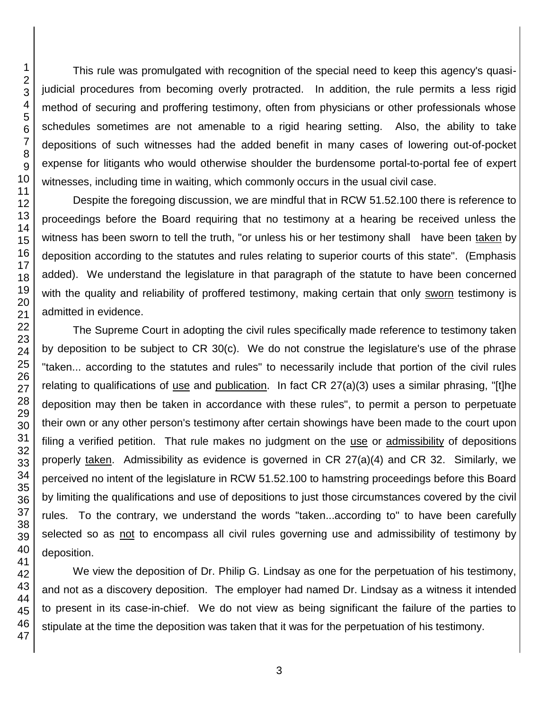This rule was promulgated with recognition of the special need to keep this agency's quasijudicial procedures from becoming overly protracted. In addition, the rule permits a less rigid method of securing and proffering testimony, often from physicians or other professionals whose schedules sometimes are not amenable to a rigid hearing setting. Also, the ability to take depositions of such witnesses had the added benefit in many cases of lowering out-of-pocket expense for litigants who would otherwise shoulder the burdensome portal-to-portal fee of expert witnesses, including time in waiting, which commonly occurs in the usual civil case.

Despite the foregoing discussion, we are mindful that in RCW 51.52.100 there is reference to proceedings before the Board requiring that no testimony at a hearing be received unless the witness has been sworn to tell the truth, "or unless his or her testimony shall have been taken by deposition according to the statutes and rules relating to superior courts of this state". (Emphasis added). We understand the legislature in that paragraph of the statute to have been concerned with the quality and reliability of proffered testimony, making certain that only sworn testimony is admitted in evidence.

The Supreme Court in adopting the civil rules specifically made reference to testimony taken by deposition to be subject to CR 30(c). We do not construe the legislature's use of the phrase "taken... according to the statutes and rules" to necessarily include that portion of the civil rules relating to qualifications of use and publication. In fact CR  $27(a)(3)$  uses a similar phrasing, "[t]he deposition may then be taken in accordance with these rules", to permit a person to perpetuate their own or any other person's testimony after certain showings have been made to the court upon filing a verified petition. That rule makes no judgment on the use or admissibility of depositions properly taken. Admissibility as evidence is governed in CR 27(a)(4) and CR 32. Similarly, we perceived no intent of the legislature in RCW 51.52.100 to hamstring proceedings before this Board by limiting the qualifications and use of depositions to just those circumstances covered by the civil rules. To the contrary, we understand the words "taken...according to" to have been carefully selected so as not to encompass all civil rules governing use and admissibility of testimony by deposition.

We view the deposition of Dr. Philip G. Lindsay as one for the perpetuation of his testimony, and not as a discovery deposition. The employer had named Dr. Lindsay as a witness it intended to present in its case-in-chief. We do not view as being significant the failure of the parties to stipulate at the time the deposition was taken that it was for the perpetuation of his testimony.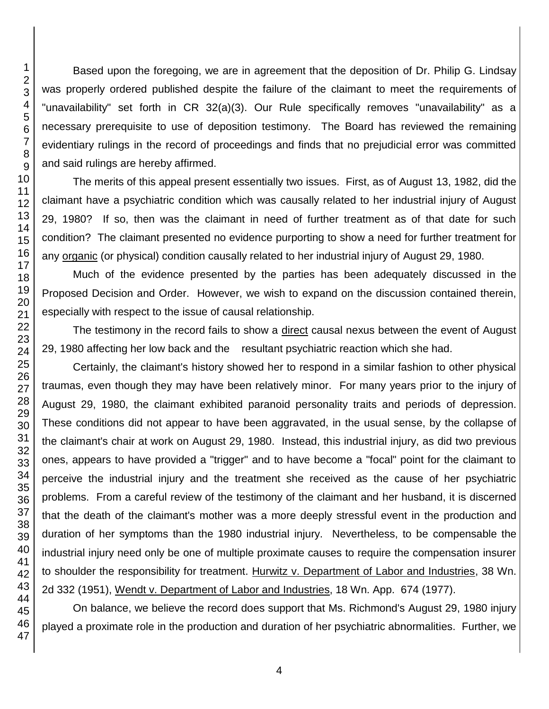Based upon the foregoing, we are in agreement that the deposition of Dr. Philip G. Lindsay was properly ordered published despite the failure of the claimant to meet the requirements of "unavailability" set forth in CR 32(a)(3). Our Rule specifically removes "unavailability" as a necessary prerequisite to use of deposition testimony. The Board has reviewed the remaining evidentiary rulings in the record of proceedings and finds that no prejudicial error was committed and said rulings are hereby affirmed.

The merits of this appeal present essentially two issues. First, as of August 13, 1982, did the claimant have a psychiatric condition which was causally related to her industrial injury of August 29, 1980? If so, then was the claimant in need of further treatment as of that date for such condition? The claimant presented no evidence purporting to show a need for further treatment for any organic (or physical) condition causally related to her industrial injury of August 29, 1980.

Much of the evidence presented by the parties has been adequately discussed in the Proposed Decision and Order. However, we wish to expand on the discussion contained therein, especially with respect to the issue of causal relationship.

The testimony in the record fails to show a direct causal nexus between the event of August 29, 1980 affecting her low back and the resultant psychiatric reaction which she had.

Certainly, the claimant's history showed her to respond in a similar fashion to other physical traumas, even though they may have been relatively minor. For many years prior to the injury of August 29, 1980, the claimant exhibited paranoid personality traits and periods of depression. These conditions did not appear to have been aggravated, in the usual sense, by the collapse of the claimant's chair at work on August 29, 1980. Instead, this industrial injury, as did two previous ones, appears to have provided a "trigger" and to have become a "focal" point for the claimant to perceive the industrial injury and the treatment she received as the cause of her psychiatric problems. From a careful review of the testimony of the claimant and her husband, it is discerned that the death of the claimant's mother was a more deeply stressful event in the production and duration of her symptoms than the 1980 industrial injury. Nevertheless, to be compensable the industrial injury need only be one of multiple proximate causes to require the compensation insurer to shoulder the responsibility for treatment. Hurwitz v. Department of Labor and Industries, 38 Wn. 2d 332 (1951), Wendt v. Department of Labor and Industries, 18 Wn. App. 674 (1977).

On balance, we believe the record does support that Ms. Richmond's August 29, 1980 injury played a proximate role in the production and duration of her psychiatric abnormalities. Further, we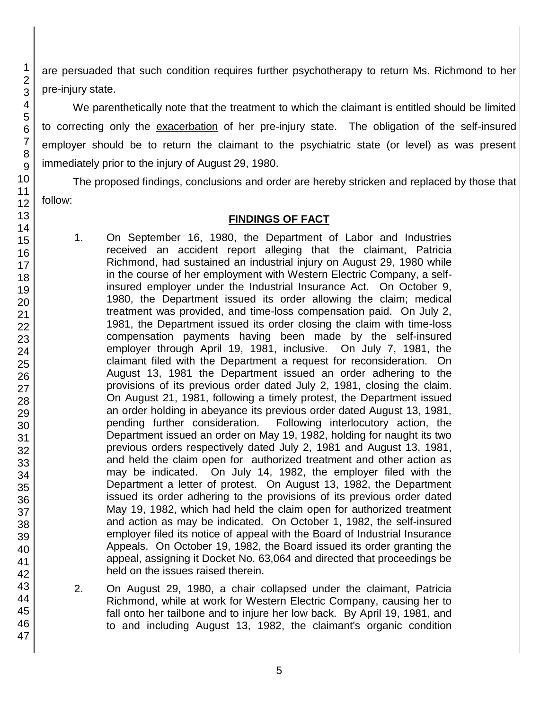are persuaded that such condition requires further psychotherapy to return Ms. Richmond to her pre-injury state.

We parenthetically note that the treatment to which the claimant is entitled should be limited to correcting only the exacerbation of her pre-injury state. The obligation of the self-insured employer should be to return the claimant to the psychiatric state (or level) as was present immediately prior to the injury of August 29, 1980.

The proposed findings, conclusions and order are hereby stricken and replaced by those that follow:

# **FINDINGS OF FACT**

- 1. On September 16, 1980, the Department of Labor and Industries received an accident report alleging that the claimant, Patricia Richmond, had sustained an industrial injury on August 29, 1980 while in the course of her employment with Western Electric Company, a selfinsured employer under the Industrial Insurance Act. On October 9, 1980, the Department issued its order allowing the claim; medical treatment was provided, and time-loss compensation paid. On July 2, 1981, the Department issued its order closing the claim with time-loss compensation payments having been made by the self-insured employer through April 19, 1981, inclusive. On July 7, 1981, the claimant filed with the Department a request for reconsideration. On August 13, 1981 the Department issued an order adhering to the provisions of its previous order dated July 2, 1981, closing the claim. On August 21, 1981, following a timely protest, the Department issued an order holding in abeyance its previous order dated August 13, 1981, pending further consideration. Following interlocutory action, the Department issued an order on May 19, 1982, holding for naught its two previous orders respectively dated July 2, 1981 and August 13, 1981, and held the claim open for authorized treatment and other action as may be indicated. On July 14, 1982, the employer filed with the Department a letter of protest. On August 13, 1982, the Department issued its order adhering to the provisions of its previous order dated May 19, 1982, which had held the claim open for authorized treatment and action as may be indicated. On October 1, 1982, the self-insured employer filed its notice of appeal with the Board of Industrial Insurance Appeals. On October 19, 1982, the Board issued its order granting the appeal, assigning it Docket No. 63,064 and directed that proceedings be held on the issues raised therein.
- 2. On August 29, 1980, a chair collapsed under the claimant, Patricia Richmond, while at work for Western Electric Company, causing her to fall onto her tailbone and to injure her low back. By April 19, 1981, and to and including August 13, 1982, the claimant's organic condition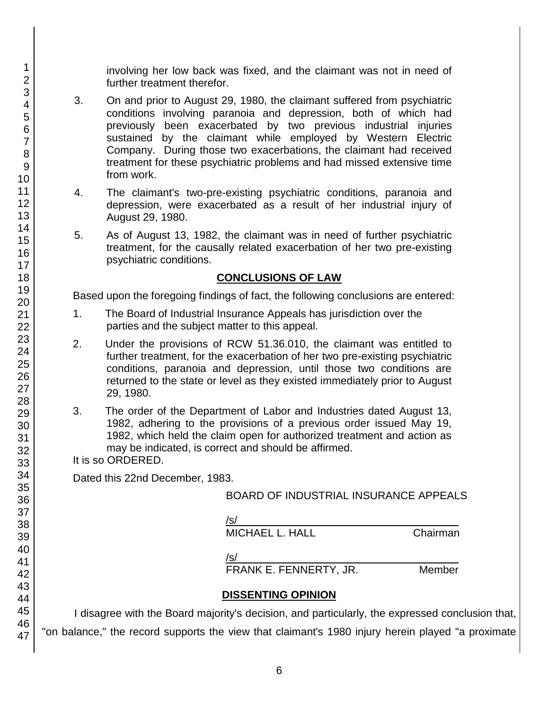involving her low back was fixed, and the claimant was not in need of further treatment therefor.

- 3. On and prior to August 29, 1980, the claimant suffered from psychiatric conditions involving paranoia and depression, both of which had previously been exacerbated by two previous industrial injuries sustained by the claimant while employed by Western Electric Company. During those two exacerbations, the claimant had received treatment for these psychiatric problems and had missed extensive time from work.
- 4. The claimant's two-pre-existing psychiatric conditions, paranoia and depression, were exacerbated as a result of her industrial injury of August 29, 1980.
- 5. As of August 13, 1982, the claimant was in need of further psychiatric treatment, for the causally related exacerbation of her two pre-existing psychiatric conditions.

#### **CONCLUSIONS OF LAW**

Based upon the foregoing findings of fact, the following conclusions are entered:

- 1. The Board of Industrial Insurance Appeals has jurisdiction over the parties and the subject matter to this appeal.
- 2. Under the provisions of RCW 51.36.010, the claimant was entitled to further treatment, for the exacerbation of her two pre-existing psychiatric conditions, paranoia and depression, until those two conditions are returned to the state or level as they existed immediately prior to August 29, 1980.
- 3. The order of the Department of Labor and Industries dated August 13, 1982, adhering to the provisions of a previous order issued May 19, 1982, which held the claim open for authorized treatment and action as may be indicated, is correct and should be affirmed.

It is so ORDERED.

Dated this 22nd December, 1983.

#### BOARD OF INDUSTRIAL INSURANCE APPEALS

/s/\_\_\_\_\_\_\_\_\_\_\_\_\_\_\_\_\_\_\_\_\_\_\_\_\_\_\_\_\_\_\_\_\_\_\_\_\_

MICHAEL L. HALL Chairman

 $/$ s/ $\sim$ 

FRANK E. FENNERTY, JR. Member

# **DISSENTING OPINION**

I disagree with the Board majority's decision, and particularly, the expressed conclusion that, "on balance," the record supports the view that claimant's 1980 injury herein played "a proximate

1